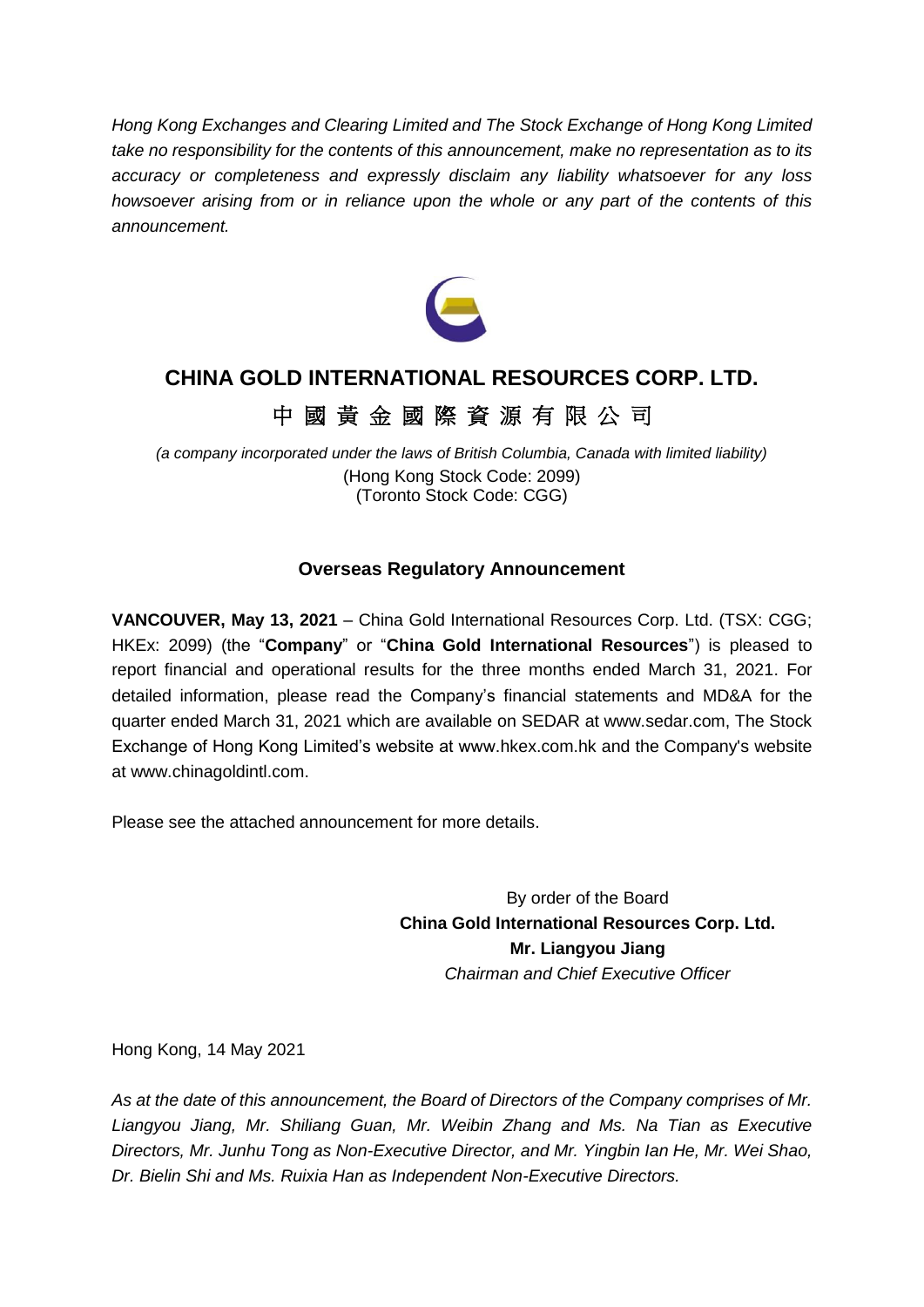*Hong Kong Exchanges and Clearing Limited and The Stock Exchange of Hong Kong Limited take no responsibility for the contents of this announcement, make no representation as to its accuracy or completeness and expressly disclaim any liability whatsoever for any loss howsoever arising from or in reliance upon the whole or any part of the contents of this announcement.*



## **CHINA GOLD INTERNATIONAL RESOURCES CORP. LTD.**

## 中 國 黃 金 國 際 資 源 有 限 公 司

*(a company incorporated under the laws of British Columbia, Canada with limited liability)* (Hong Kong Stock Code: 2099) (Toronto Stock Code: CGG)

### **Overseas Regulatory Announcement**

**VANCOUVER, May 13, 2021** – China Gold International Resources Corp. Ltd. (TSX: CGG; HKEx: 2099) (the "**Company**" or "**China Gold International Resources**") is pleased to report financial and operational results for the three months ended March 31, 2021. For detailed information, please read the Company's financial statements and MD&A for the quarter ended March 31, 2021 which are available on SEDAR at www.sedar.com, The Stock Exchange of Hong Kong Limited's website at www.hkex.com.hk and the Company's website at www.chinagoldintl.com.

Please see the attached announcement for more details.

By order of the Board **China Gold International Resources Corp. Ltd. Mr. Liangyou Jiang** *Chairman and Chief Executive Officer*

Hong Kong, 14 May 2021

*As at the date of this announcement, the Board of Directors of the Company comprises of Mr. Liangyou Jiang, Mr. Shiliang Guan, Mr. Weibin Zhang and Ms. Na Tian as Executive Directors, Mr. Junhu Tong as Non-Executive Director, and Mr. Yingbin Ian He, Mr. Wei Shao, Dr. Bielin Shi and Ms. Ruixia Han as Independent Non-Executive Directors.*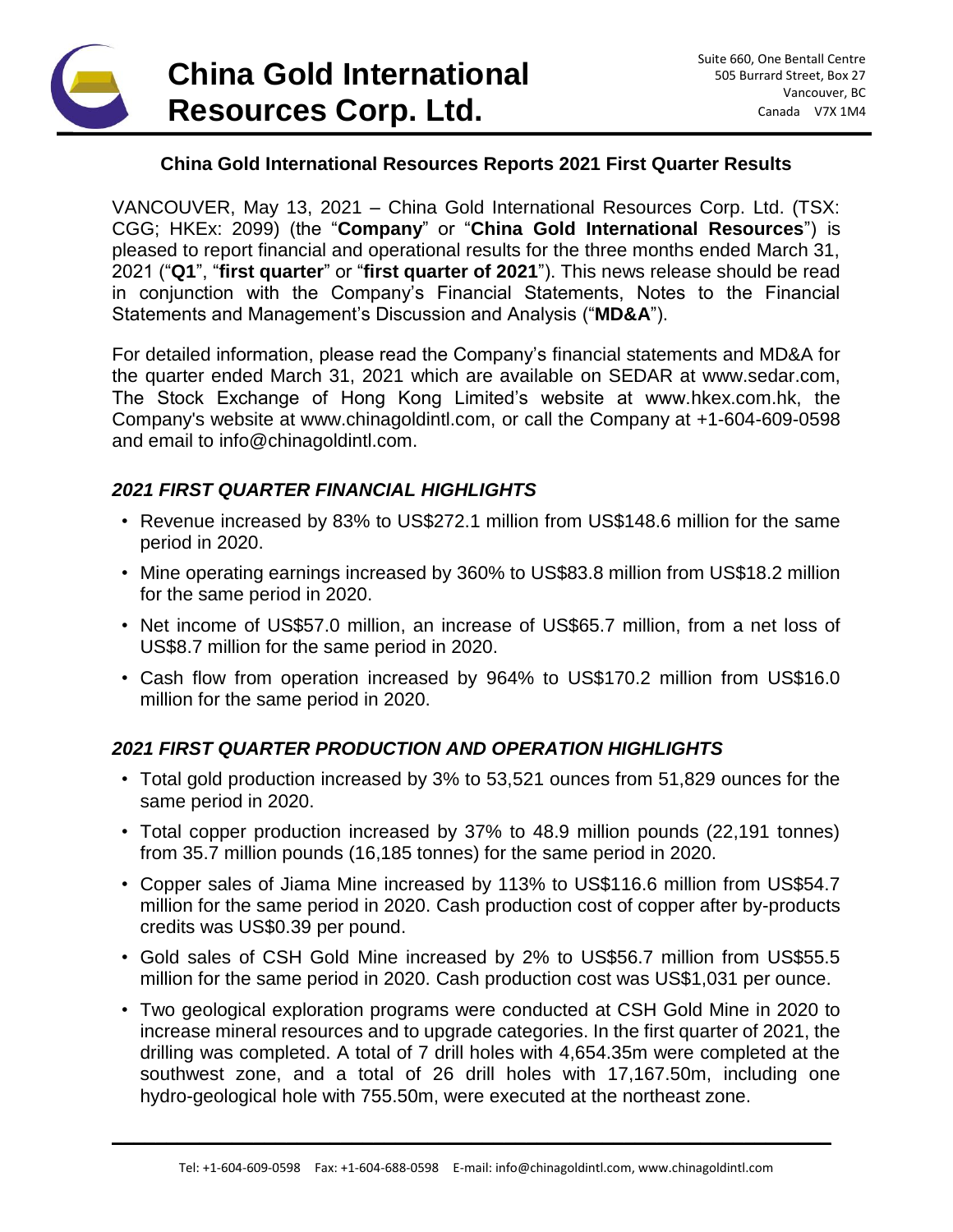# **China Gold International Resources Corp. Ltd.**

### **China Gold International Resources Reports 2021 First Quarter Results**

VANCOUVER, May 13, 2021 – China Gold International Resources Corp. Ltd. (TSX: CGG; HKEx: 2099) (the "**Company**" or "**China Gold International Resources**") is pleased to report financial and operational results for the three months ended March 31, 2021 ("**Q1**", "**first quarter**" or "**first quarter of 2021**"). This news release should be read in conjunction with the Company's Financial Statements, Notes to the Financial Statements and Management's Discussion and Analysis ("**MD&A**").

For detailed information, please read the Company's financial statements and MD&A for the quarter ended March 31, 2021 which are available on SEDAR at www.sedar.com, The Stock Exchange of Hong Kong Limited's website at www.hkex.com.hk, the Company's website at www.chinagoldintl.com, or call the Company at +1-604-609-0598 and email to info@chinagoldintl.com.

#### *2021 FIRST QUARTER FINANCIAL HIGHLIGHTS*

- Revenue increased by 83% to US\$272.1 million from US\$148.6 million for the same period in 2020.
- Mine operating earnings increased by 360% to US\$83.8 million from US\$18.2 million for the same period in 2020.
- Net income of US\$57.0 million, an increase of US\$65.7 million, from a net loss of US\$8.7 million for the same period in 2020.
- Cash flow from operation increased by 964% to US\$170.2 million from US\$16.0 million for the same period in 2020.

### *2021 FIRST QUARTER PRODUCTION AND OPERATION HIGHLIGHTS*

- Total gold production increased by 3% to 53,521 ounces from 51,829 ounces for the same period in 2020.
- Total copper production increased by 37% to 48.9 million pounds (22,191 tonnes) from 35.7 million pounds (16,185 tonnes) for the same period in 2020.
- Copper sales of Jiama Mine increased by 113% to US\$116.6 million from US\$54.7 million for the same period in 2020. Cash production cost of copper after by-products credits was US\$0.39 per pound.
- Gold sales of CSH Gold Mine increased by 2% to US\$56.7 million from US\$55.5 million for the same period in 2020. Cash production cost was US\$1,031 per ounce.
- Two geological exploration programs were conducted at CSH Gold Mine in 2020 to increase mineral resources and to upgrade categories. In the first quarter of 2021, the drilling was completed. A total of 7 drill holes with 4,654.35m were completed at the southwest zone, and a total of 26 drill holes with 17,167.50m, including one hydro-geological hole with 755.50m, were executed at the northeast zone.

\_\_\_\_\_\_\_\_\_\_\_\_\_\_\_\_\_\_\_\_\_\_\_\_\_\_\_\_\_\_\_\_\_\_\_\_\_\_\_\_\_\_\_\_\_\_\_\_\_\_\_\_\_\_\_\_\_\_\_\_\_\_\_\_\_\_